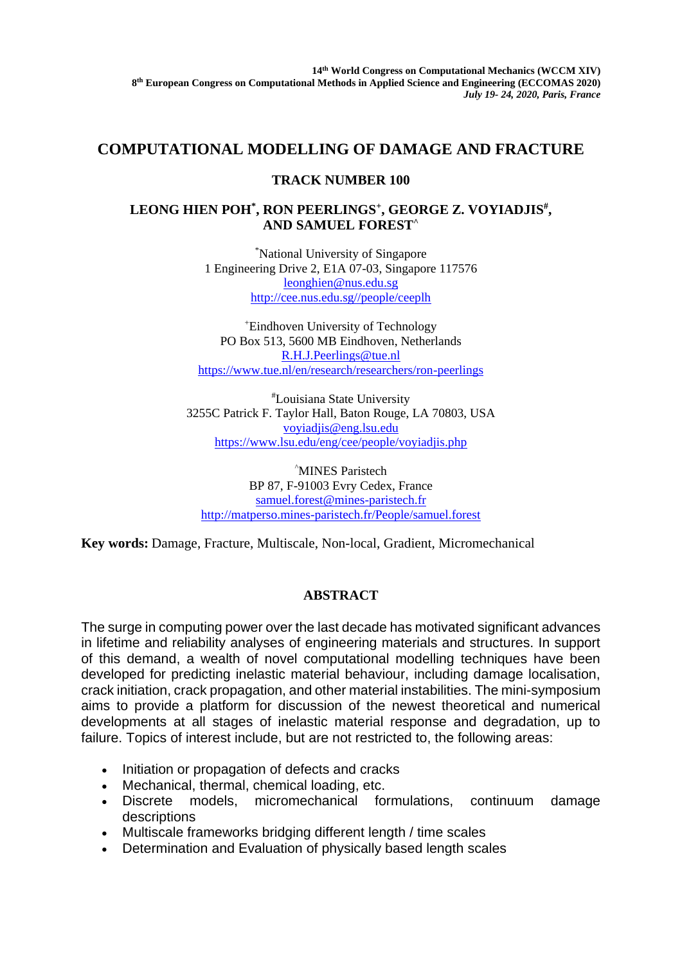## **COMPUTATIONAL MODELLING OF DAMAGE AND FRACTURE**

## **TRACK NUMBER 100**

## LEONG HIEN POH<sup>\*</sup>, RON PEERLINGS<sup>+</sup>, GEORGE Z. VOYIADJIS<sup>#</sup>, **AND SAMUEL FOREST^**

\*National University of Singapore 1 Engineering Drive 2, E1A 07-03, Singapore 117576 [leonghien@nus.edu.sg](mailto:leonghien@nus.edu.sg) [http://cee.nus.edu.sg//people/ceeplh](http://cee.nus.edu.sg/people/ceeplh)

<sup>+</sup>Eindhoven University of Technology PO Box 513, 5600 MB Eindhoven, Netherlands [R.H.J.Peerlings@tue.nl](mailto:R.H.J.Peerlings@tue.nl) <https://www.tue.nl/en/research/researchers/ron-peerlings>

#Louisiana State University 3255C Patrick F. Taylor Hall, Baton Rouge, LA 70803, USA [voyiadjis@eng.lsu.edu](mailto:voyiadjis@eng.lsu.edu) <https://www.lsu.edu/eng/cee/people/voyiadjis.php>

^MINES Paristech BP 87, F-91003 Evry Cedex, France [samuel.forest@mines-paristech.fr](mailto:samuel.forest@mines-paristech.fr) <http://matperso.mines-paristech.fr/People/samuel.forest>

**Key words:** Damage, Fracture, Multiscale, Non-local, Gradient, Micromechanical

## **ABSTRACT**

The surge in computing power over the last decade has motivated significant advances in lifetime and reliability analyses of engineering materials and structures. In support of this demand, a wealth of novel computational modelling techniques have been developed for predicting inelastic material behaviour, including damage localisation, crack initiation, crack propagation, and other material instabilities. The mini-symposium aims to provide a platform for discussion of the newest theoretical and numerical developments at all stages of inelastic material response and degradation, up to failure. Topics of interest include, but are not restricted to, the following areas:

- Initiation or propagation of defects and cracks
- Mechanical, thermal, chemical loading, etc.
- Discrete models, micromechanical formulations, continuum damage descriptions
- Multiscale frameworks bridging different length / time scales
- Determination and Evaluation of physically based length scales